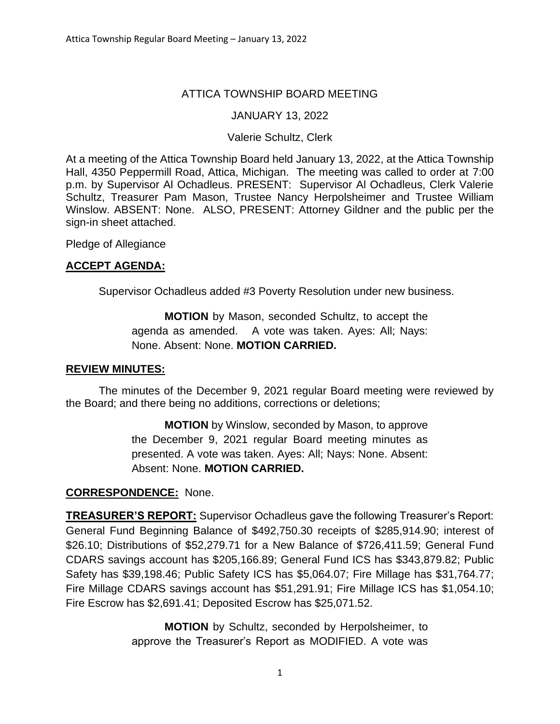# ATTICA TOWNSHIP BOARD MEETING

## JANUARY 13, 2022

## Valerie Schultz, Clerk

At a meeting of the Attica Township Board held January 13, 2022, at the Attica Township Hall, 4350 Peppermill Road, Attica, Michigan. The meeting was called to order at 7:00 p.m. by Supervisor Al Ochadleus. PRESENT: Supervisor Al Ochadleus, Clerk Valerie Schultz, Treasurer Pam Mason, Trustee Nancy Herpolsheimer and Trustee William Winslow. ABSENT: None. ALSO, PRESENT: Attorney Gildner and the public per the sign-in sheet attached.

Pledge of Allegiance

# **ACCEPT AGENDA:**

Supervisor Ochadleus added #3 Poverty Resolution under new business.

**MOTION** by Mason, seconded Schultz, to accept the agenda as amended. A vote was taken. Ayes: All; Nays: None. Absent: None. **MOTION CARRIED.**

## **REVIEW MINUTES:**

The minutes of the December 9, 2021 regular Board meeting were reviewed by the Board; and there being no additions, corrections or deletions;

> **MOTION** by Winslow, seconded by Mason, to approve the December 9, 2021 regular Board meeting minutes as presented. A vote was taken. Ayes: All; Nays: None. Absent: Absent: None. **MOTION CARRIED.**

## **CORRESPONDENCE:** None.

**TREASURER'S REPORT:** Supervisor Ochadleus gave the following Treasurer's Report: General Fund Beginning Balance of \$492,750.30 receipts of \$285,914.90; interest of \$26.10; Distributions of \$52,279.71 for a New Balance of \$726,411.59; General Fund CDARS savings account has \$205,166.89; General Fund ICS has \$343,879.82; Public Safety has \$39,198.46; Public Safety ICS has \$5,064.07; Fire Millage has \$31,764.77; Fire Millage CDARS savings account has \$51,291.91; Fire Millage ICS has \$1,054.10; Fire Escrow has \$2,691.41; Deposited Escrow has \$25,071.52.

> **MOTION** by Schultz, seconded by Herpolsheimer, to approve the Treasurer's Report as MODIFIED. A vote was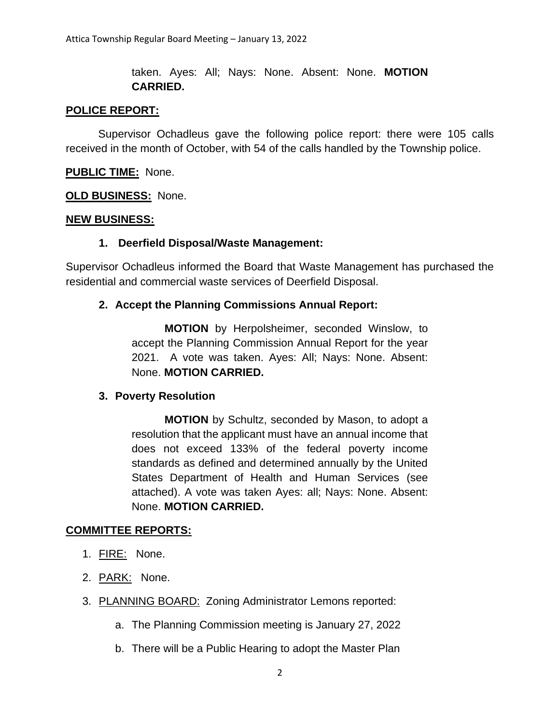taken. Ayes: All; Nays: None. Absent: None. **MOTION CARRIED.**

### **POLICE REPORT:**

Supervisor Ochadleus gave the following police report: there were 105 calls received in the month of October, with 54 of the calls handled by the Township police.

**PUBLIC TIME:** None.

**OLD BUSINESS:** None.

#### **NEW BUSINESS:**

### **1. Deerfield Disposal/Waste Management:**

Supervisor Ochadleus informed the Board that Waste Management has purchased the residential and commercial waste services of Deerfield Disposal.

### **2. Accept the Planning Commissions Annual Report:**

**MOTION** by Herpolsheimer, seconded Winslow, to accept the Planning Commission Annual Report for the year 2021. A vote was taken. Ayes: All; Nays: None. Absent: None. **MOTION CARRIED.**

#### **3. Poverty Resolution**

**MOTION** by Schultz, seconded by Mason, to adopt a resolution that the applicant must have an annual income that does not exceed 133% of the federal poverty income standards as defined and determined annually by the United States Department of Health and Human Services (see attached). A vote was taken Ayes: all; Nays: None. Absent: None. **MOTION CARRIED.**

#### **COMMITTEE REPORTS:**

- 1. FIRE: None.
- 2. PARK: None.
- 3. PLANNING BOARD: Zoning Administrator Lemons reported:
	- a. The Planning Commission meeting is January 27, 2022
	- b. There will be a Public Hearing to adopt the Master Plan